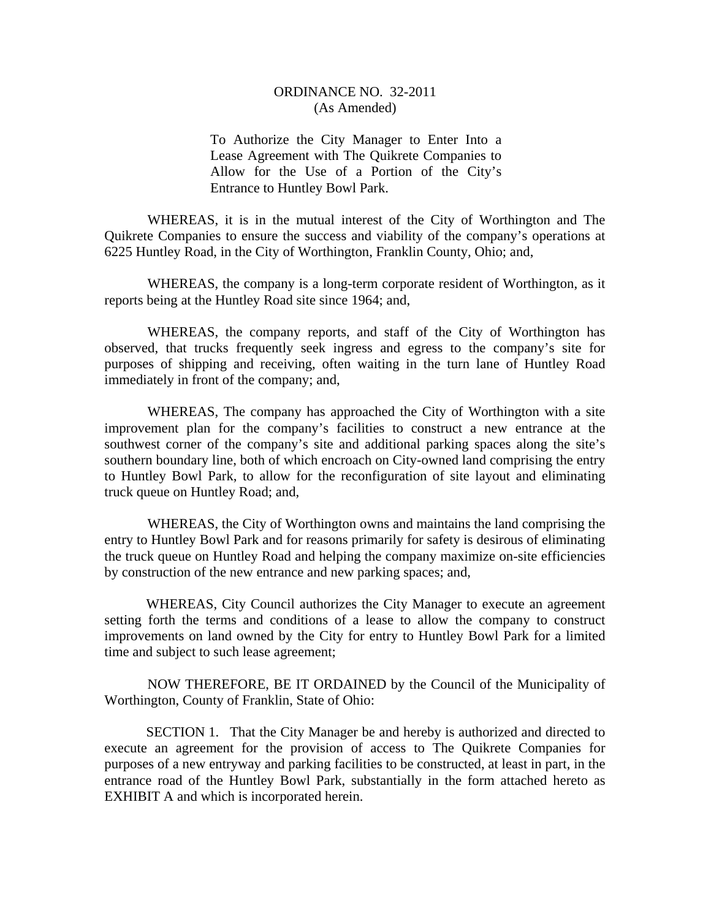## ORDINANCE NO. 32-2011 (As Amended)

To Authorize the City Manager to Enter Into a Lease Agreement with The Quikrete Companies to Allow for the Use of a Portion of the City's Entrance to Huntley Bowl Park.

WHEREAS, it is in the mutual interest of the City of Worthington and The Quikrete Companies to ensure the success and viability of the company's operations at 6225 Huntley Road, in the City of Worthington, Franklin County, Ohio; and,

WHEREAS, the company is a long-term corporate resident of Worthington, as it reports being at the Huntley Road site since 1964; and,

WHEREAS, the company reports, and staff of the City of Worthington has observed, that trucks frequently seek ingress and egress to the company's site for purposes of shipping and receiving, often waiting in the turn lane of Huntley Road immediately in front of the company; and,

WHEREAS, The company has approached the City of Worthington with a site improvement plan for the company's facilities to construct a new entrance at the southwest corner of the company's site and additional parking spaces along the site's southern boundary line, both of which encroach on City-owned land comprising the entry to Huntley Bowl Park, to allow for the reconfiguration of site layout and eliminating truck queue on Huntley Road; and,

WHEREAS, the City of Worthington owns and maintains the land comprising the entry to Huntley Bowl Park and for reasons primarily for safety is desirous of eliminating the truck queue on Huntley Road and helping the company maximize on-site efficiencies by construction of the new entrance and new parking spaces; and,

 WHEREAS, City Council authorizes the City Manager to execute an agreement setting forth the terms and conditions of a lease to allow the company to construct improvements on land owned by the City for entry to Huntley Bowl Park for a limited time and subject to such lease agreement;

NOW THEREFORE, BE IT ORDAINED by the Council of the Municipality of Worthington, County of Franklin, State of Ohio:

 SECTION 1. That the City Manager be and hereby is authorized and directed to execute an agreement for the provision of access to The Quikrete Companies for purposes of a new entryway and parking facilities to be constructed, at least in part, in the entrance road of the Huntley Bowl Park, substantially in the form attached hereto as EXHIBIT A and which is incorporated herein.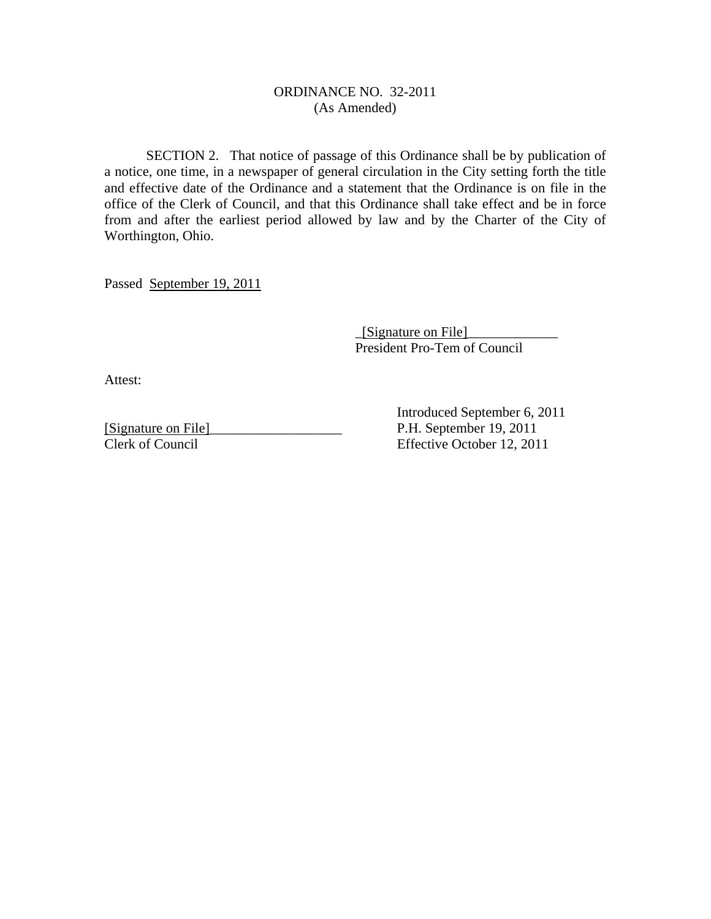## ORDINANCE NO. 32-2011 (As Amended)

 SECTION 2. That notice of passage of this Ordinance shall be by publication of a notice, one time, in a newspaper of general circulation in the City setting forth the title and effective date of the Ordinance and a statement that the Ordinance is on file in the office of the Clerk of Council, and that this Ordinance shall take effect and be in force from and after the earliest period allowed by law and by the Charter of the City of Worthington, Ohio.

Passed September 19, 2011

 $[\text{Sigma on File}]$ President Pro-Tem of Council

Attest:

[Signature on File]\_\_\_\_\_\_\_\_\_\_\_\_\_\_\_\_\_\_\_ P.H. September 19, 2011 Clerk of Council Effective October 12, 2011

Introduced September 6, 2011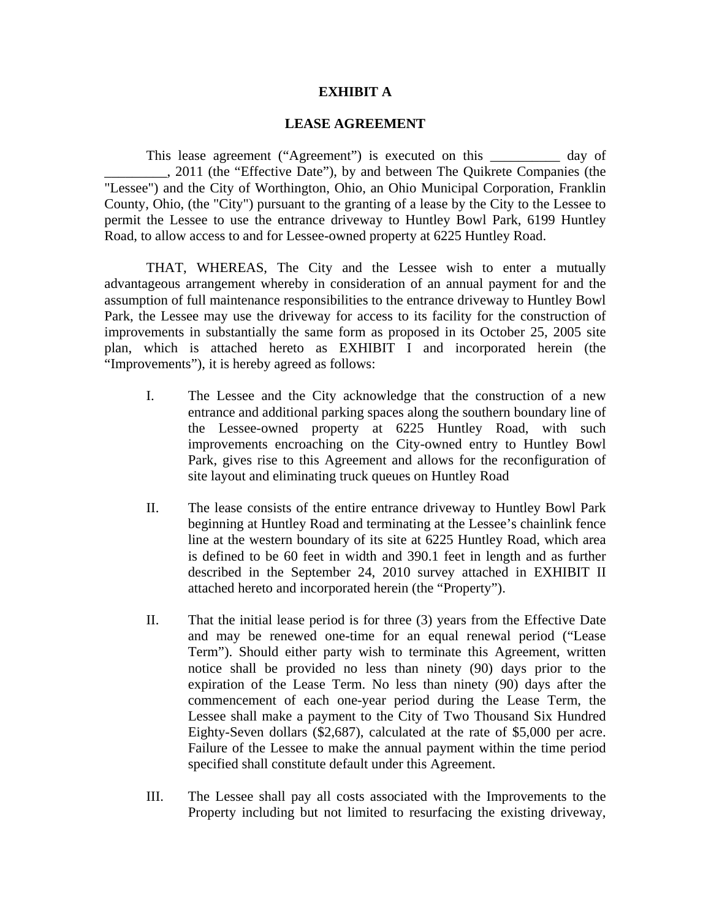## **EXHIBIT A**

## **LEASE AGREEMENT**

This lease agreement ("Agreement") is executed on this day of \_\_\_\_\_\_\_\_\_, 2011 (the "Effective Date"), by and between The Quikrete Companies (the "Lessee") and the City of Worthington, Ohio, an Ohio Municipal Corporation, Franklin County, Ohio, (the "City") pursuant to the granting of a lease by the City to the Lessee to permit the Lessee to use the entrance driveway to Huntley Bowl Park, 6199 Huntley Road, to allow access to and for Lessee-owned property at 6225 Huntley Road.

THAT, WHEREAS, The City and the Lessee wish to enter a mutually advantageous arrangement whereby in consideration of an annual payment for and the assumption of full maintenance responsibilities to the entrance driveway to Huntley Bowl Park, the Lessee may use the driveway for access to its facility for the construction of improvements in substantially the same form as proposed in its October 25, 2005 site plan, which is attached hereto as EXHIBIT I and incorporated herein (the "Improvements"), it is hereby agreed as follows:

- I. The Lessee and the City acknowledge that the construction of a new entrance and additional parking spaces along the southern boundary line of the Lessee-owned property at 6225 Huntley Road, with such improvements encroaching on the City-owned entry to Huntley Bowl Park, gives rise to this Agreement and allows for the reconfiguration of site layout and eliminating truck queues on Huntley Road
- II. The lease consists of the entire entrance driveway to Huntley Bowl Park beginning at Huntley Road and terminating at the Lessee's chainlink fence line at the western boundary of its site at 6225 Huntley Road, which area is defined to be 60 feet in width and 390.1 feet in length and as further described in the September 24, 2010 survey attached in EXHIBIT II attached hereto and incorporated herein (the "Property").
- II. That the initial lease period is for three (3) years from the Effective Date and may be renewed one-time for an equal renewal period ("Lease Term"). Should either party wish to terminate this Agreement, written notice shall be provided no less than ninety (90) days prior to the expiration of the Lease Term. No less than ninety (90) days after the commencement of each one-year period during the Lease Term, the Lessee shall make a payment to the City of Two Thousand Six Hundred Eighty-Seven dollars (\$2,687), calculated at the rate of \$5,000 per acre. Failure of the Lessee to make the annual payment within the time period specified shall constitute default under this Agreement.
- III. The Lessee shall pay all costs associated with the Improvements to the Property including but not limited to resurfacing the existing driveway,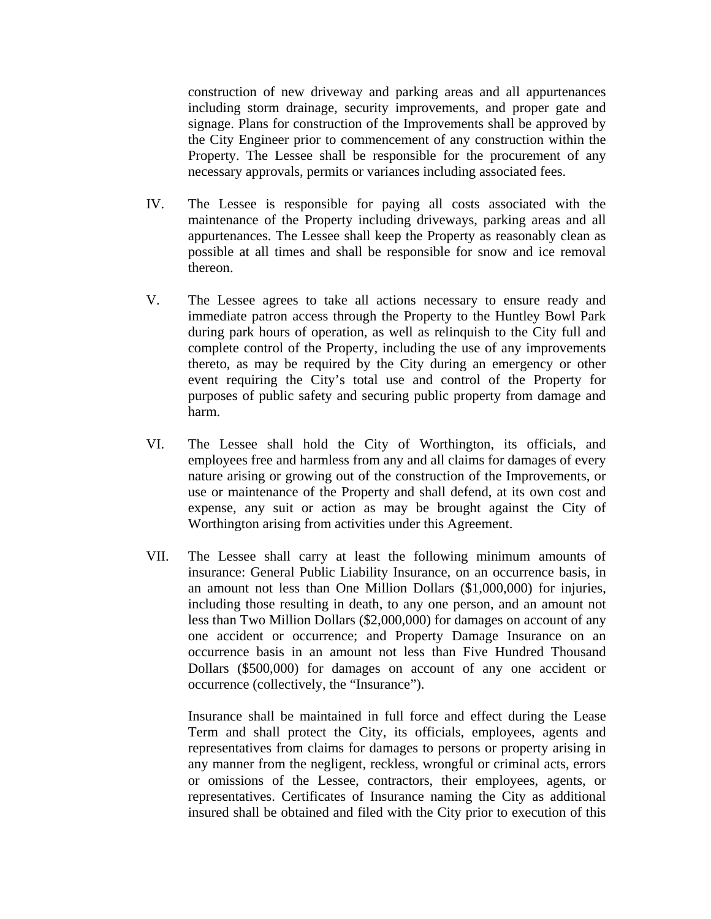construction of new driveway and parking areas and all appurtenances including storm drainage, security improvements, and proper gate and signage. Plans for construction of the Improvements shall be approved by the City Engineer prior to commencement of any construction within the Property. The Lessee shall be responsible for the procurement of any necessary approvals, permits or variances including associated fees.

- IV. The Lessee is responsible for paying all costs associated with the maintenance of the Property including driveways, parking areas and all appurtenances. The Lessee shall keep the Property as reasonably clean as possible at all times and shall be responsible for snow and ice removal thereon.
- V. The Lessee agrees to take all actions necessary to ensure ready and immediate patron access through the Property to the Huntley Bowl Park during park hours of operation, as well as relinquish to the City full and complete control of the Property, including the use of any improvements thereto, as may be required by the City during an emergency or other event requiring the City's total use and control of the Property for purposes of public safety and securing public property from damage and harm.
- VI. The Lessee shall hold the City of Worthington, its officials, and employees free and harmless from any and all claims for damages of every nature arising or growing out of the construction of the Improvements, or use or maintenance of the Property and shall defend, at its own cost and expense, any suit or action as may be brought against the City of Worthington arising from activities under this Agreement.
- VII. The Lessee shall carry at least the following minimum amounts of insurance: General Public Liability Insurance, on an occurrence basis, in an amount not less than One Million Dollars (\$1,000,000) for injuries, including those resulting in death, to any one person, and an amount not less than Two Million Dollars (\$2,000,000) for damages on account of any one accident or occurrence; and Property Damage Insurance on an occurrence basis in an amount not less than Five Hundred Thousand Dollars (\$500,000) for damages on account of any one accident or occurrence (collectively, the "Insurance").

Insurance shall be maintained in full force and effect during the Lease Term and shall protect the City, its officials, employees, agents and representatives from claims for damages to persons or property arising in any manner from the negligent, reckless, wrongful or criminal acts, errors or omissions of the Lessee, contractors, their employees, agents, or representatives. Certificates of Insurance naming the City as additional insured shall be obtained and filed with the City prior to execution of this